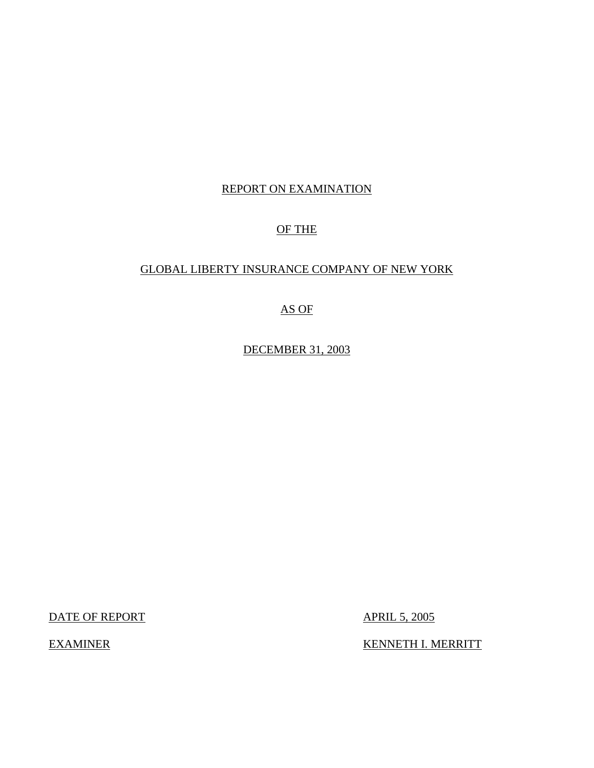# REPORT ON EXAMINATION

# OF THE

# GLOBAL LIBERTY INSURANCE COMPANY OF NEW YORK

# AS OF

DECEMBER 31, 2003

DATE OF REPORT

**APRIL 5, 2005** 

EXAMINER KENNETH I. MERRITT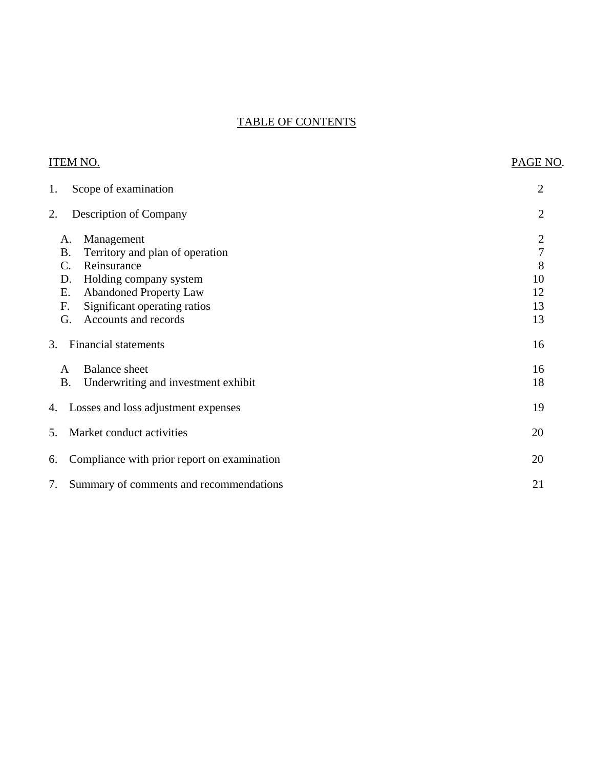# TABLE OF CONTENTS

| <b>ITEM NO.</b>                                                                                                                                                                                                                  | PAGE NO.                                                        |
|----------------------------------------------------------------------------------------------------------------------------------------------------------------------------------------------------------------------------------|-----------------------------------------------------------------|
| Scope of examination<br>1.                                                                                                                                                                                                       | $\overline{2}$                                                  |
| 2.<br><b>Description of Company</b>                                                                                                                                                                                              | $\overline{2}$                                                  |
| Management<br>A.<br><b>B.</b><br>Territory and plan of operation<br>Reinsurance<br>C.<br>Holding company system<br>D.<br><b>Abandoned Property Law</b><br>Ε.<br>Significant operating ratios<br>F.<br>Accounts and records<br>G. | $\overline{c}$<br>$\boldsymbol{7}$<br>8<br>10<br>12<br>13<br>13 |
| Financial statements<br>3.                                                                                                                                                                                                       | 16                                                              |
| <b>Balance</b> sheet<br>A<br><b>B.</b><br>Underwriting and investment exhibit                                                                                                                                                    | 16<br>18                                                        |
| Losses and loss adjustment expenses<br>4.                                                                                                                                                                                        | 19                                                              |
| Market conduct activities<br>5.                                                                                                                                                                                                  | 20                                                              |
| Compliance with prior report on examination<br>6.                                                                                                                                                                                | 20                                                              |
| 7.<br>Summary of comments and recommendations                                                                                                                                                                                    | 21                                                              |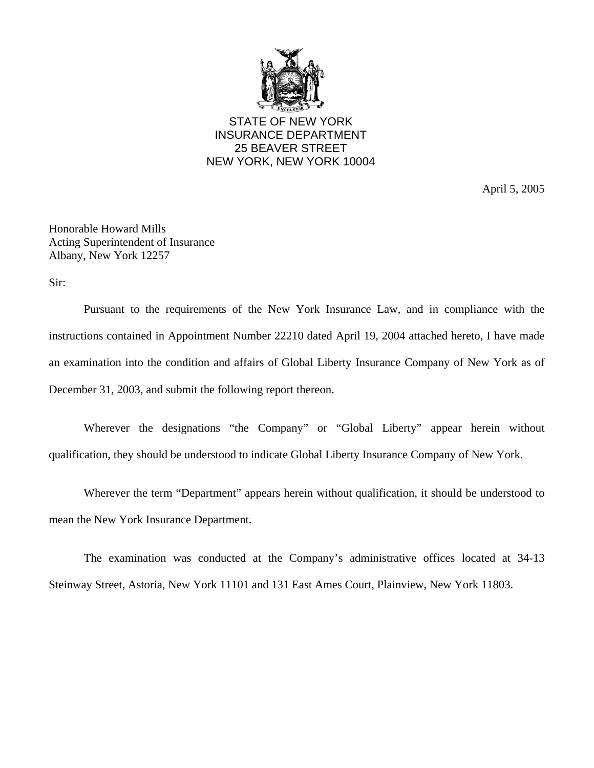

STATE OF NEW YORK INSURANCE DEPARTMENT 25 BEAVER STREET NEW YORK, NEW YORK 10004

April 5, 2005

Honorable Howard Mills Acting Superintendent of Insurance Albany, New York 12257

Sir:

Pursuant to the requirements of the New York Insurance Law, and in compliance with the instructions contained in Appointment Number 22210 dated April 19, 2004 attached hereto, I have made an examination into the condition and affairs of Global Liberty Insurance Company of New York as of December 31, 2003, and submit the following report thereon.

Wherever the designations "the Company" or "Global Liberty" appear herein without qualification, they should be understood to indicate Global Liberty Insurance Company of New York.

Wherever the term "Department" appears herein without qualification, it should be understood to mean the New York Insurance Department.

The examination was conducted at the Company's administrative offices located at 34-13 Steinway Street, Astoria, New York 11101 and 131 East Ames Court, Plainview, New York 11803.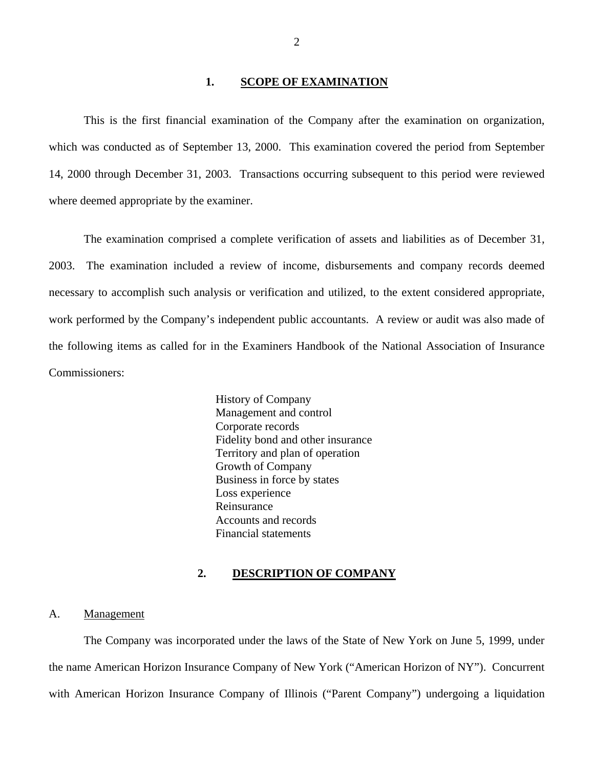## 1. **SCOPE OF EXAMINATION**

<span id="page-3-0"></span>This is the first financial examination of the Company after the examination on organization, which was conducted as of September 13, 2000. This examination covered the period from September 14, 2000 through December 31, 2003. Transactions occurring subsequent to this period were reviewed where deemed appropriate by the examiner.

The examination comprised a complete verification of assets and liabilities as of December 31, 2003. The examination included a review of income, disbursements and company records deemed necessary to accomplish such analysis or verification and utilized, to the extent considered appropriate, work performed by the Company's independent public accountants. A review or audit was also made of the following items as called for in the Examiners Handbook of the National Association of Insurance Commissioners:

> History of Company Management and control Corporate records Fidelity bond and other insurance Territory and plan of operation Growth of Company Business in force by states Loss experience Reinsurance Accounts and records Financial statements

#### **2. DESCRIPTION OF COMPANY**

### A. Management

The Company was incorporated under the laws of the State of New York on June 5, 1999, under the name American Horizon Insurance Company of New York ("American Horizon of NY"). Concurrent with American Horizon Insurance Company of Illinois ("Parent Company") undergoing a liquidation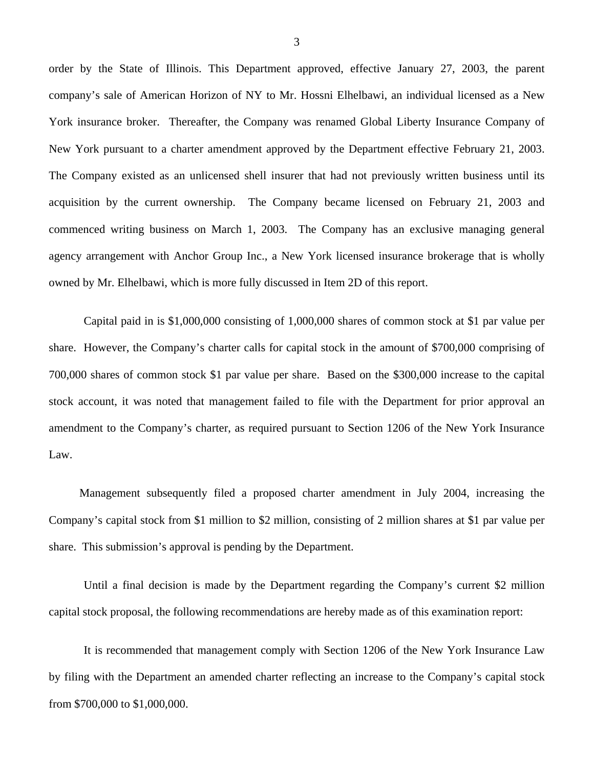order by the State of Illinois. This Department approved, effective January 27, 2003, the parent company's sale of American Horizon of NY to Mr. Hossni Elhelbawi, an individual licensed as a New York insurance broker. Thereafter, the Company was renamed Global Liberty Insurance Company of New York pursuant to a charter amendment approved by the Department effective February 21, 2003. The Company existed as an unlicensed shell insurer that had not previously written business until its acquisition by the current ownership. The Company became licensed on February 21, 2003 and commenced writing business on March 1, 2003. The Company has an exclusive managing general agency arrangement with Anchor Group Inc., a New York licensed insurance brokerage that is wholly owned by Mr. Elhelbawi, which is more fully discussed in Item 2D of this report.

Capital paid in is \$1,000,000 consisting of 1,000,000 shares of common stock at \$1 par value per share. However, the Company's charter calls for capital stock in the amount of \$700,000 comprising of 700,000 shares of common stock \$1 par value per share. Based on the \$300,000 increase to the capital stock account, it was noted that management failed to file with the Department for prior approval an amendment to the Company's charter, as required pursuant to Section 1206 of the New York Insurance Law.

Management subsequently filed a proposed charter amendment in July 2004, increasing the Company's capital stock from \$1 million to \$2 million, consisting of 2 million shares at \$1 par value per share. This submission's approval is pending by the Department.

Until a final decision is made by the Department regarding the Company's current \$2 million capital stock proposal, the following recommendations are hereby made as of this examination report:

It is recommended that management comply with Section 1206 of the New York Insurance Law by filing with the Department an amended charter reflecting an increase to the Company's capital stock from \$700,000 to \$1,000,000.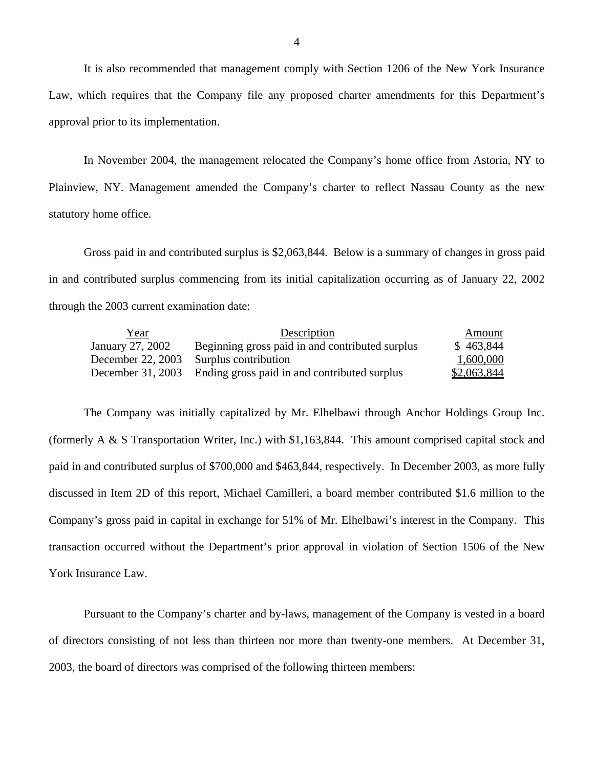It is also recommended that management comply with Section 1206 of the New York Insurance Law, which requires that the Company file any proposed charter amendments for this Department's approval prior to its implementation.

In November 2004, the management relocated the Company's home office from Astoria, NY to Plainview, NY. Management amended the Company's charter to reflect Nassau County as the new statutory home office.

Gross paid in and contributed surplus is \$2,063,844. Below is a summary of changes in gross paid in and contributed surplus commencing from its initial capitalization occurring as of January 22, 2002 through the 2003 current examination date:

| Year              | Description                                     | Amount      |
|-------------------|-------------------------------------------------|-------------|
| January 27, 2002  | Beginning gross paid in and contributed surplus | \$463,844   |
| December 22, 2003 | Surplus contribution                            | 1,600,000   |
| December 31, 2003 | Ending gross paid in and contributed surplus    | \$2,063,844 |

The Company was initially capitalized by Mr. Elhelbawi through Anchor Holdings Group Inc. (formerly A & S Transportation Writer, Inc.) with \$1,163,844. This amount comprised capital stock and paid in and contributed surplus of \$700,000 and \$463,844, respectively. In December 2003, as more fully discussed in Item 2D of this report, Michael Camilleri, a board member contributed \$1.6 million to the Company's gross paid in capital in exchange for 51% of Mr. Elhelbawi's interest in the Company. This transaction occurred without the Department's prior approval in violation of Section 1506 of the New York Insurance Law.

Pursuant to the Company's charter and by-laws, management of the Company is vested in a board of directors consisting of not less than thirteen nor more than twenty-one members. At December 31, 2003, the board of directors was comprised of the following thirteen members: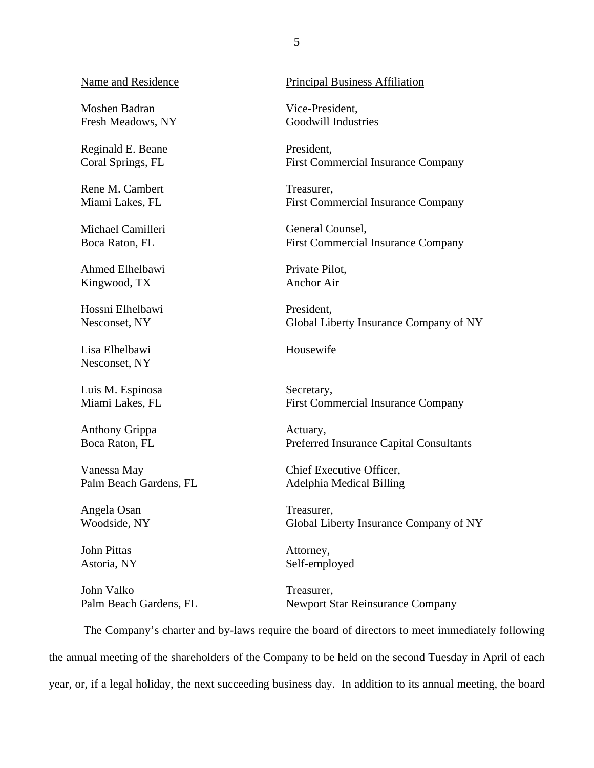Name and Residence

Moshen Badran Fresh Meadows, NY

Reginald E. Beane Coral Springs, FL

Rene M. Cambert Miami Lakes, FL

Michael Camilleri Boca Raton, FL

Ahmed Elhelbawi Kingwood, TX

Hossni Elhelbawi Nesconset, NY

Lisa Elhelbawi Nesconset, NY

Luis M. Espinosa Miami Lakes, FL

Anthony Grippa Boca Raton, FL

Vanessa May Palm Beach Gardens, FL

Angela Osan Woodside, NY

John Pittas Astoria, NY

John Valko Palm Beach Gardens, FL Principal Business Affiliation

Vice-President, Goodwill Industries

President, First Commercial Insurance Company

Treasurer, First Commercial Insurance Company

General Counsel, First Commercial Insurance Company

Private Pilot, Anchor Air

President, Global Liberty Insurance Company of NY

Housewife

Secretary, First Commercial Insurance Company

Actuary, Preferred Insurance Capital Consultants

Chief Executive Officer, Adelphia Medical Billing

Treasurer, Global Liberty Insurance Company of NY

Attorney, Self-employed

Treasurer, Newport Star Reinsurance Company

The Company's charter and by-laws require the board of directors to meet immediately following the annual meeting of the shareholders of the Company to be held on the second Tuesday in April of each year, or, if a legal holiday, the next succeeding business day. In addition to its annual meeting, the board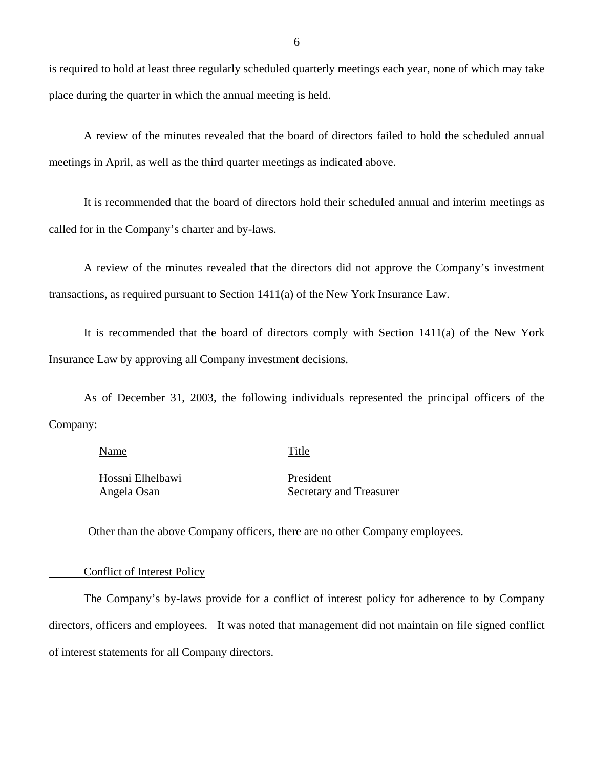is required to hold at least three regularly scheduled quarterly meetings each year, none of which may take place during the quarter in which the annual meeting is held.

A review of the minutes revealed that the board of directors failed to hold the scheduled annual meetings in April, as well as the third quarter meetings as indicated above.

It is recommended that the board of directors hold their scheduled annual and interim meetings as called for in the Company's charter and by-laws.

A review of the minutes revealed that the directors did not approve the Company's investment transactions, as required pursuant to Section 1411(a) of the New York Insurance Law.

It is recommended that the board of directors comply with Section 1411(a) of the New York Insurance Law by approving all Company investment decisions.

As of December 31, 2003, the following individuals represented the principal officers of the Company:

#### Name Title

Hossni Elhelbawi Angela Osan

President Secretary and Treasurer

Other than the above Company officers, there are no other Company employees.

#### Conflict of Interest Policy

The Company's by-laws provide for a conflict of interest policy for adherence to by Company directors, officers and employees. It was noted that management did not maintain on file signed conflict of interest statements for all Company directors.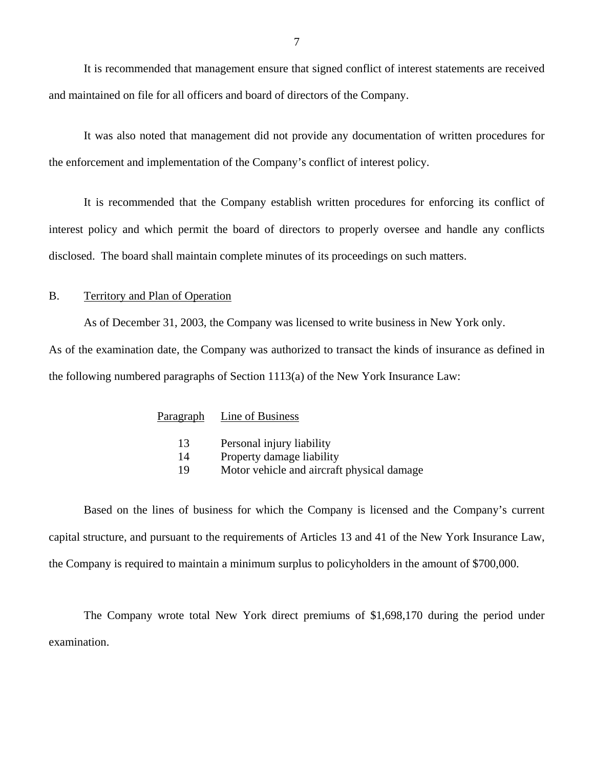<span id="page-8-0"></span>It is recommended that management ensure that signed conflict of interest statements are received and maintained on file for all officers and board of directors of the Company.

It was also noted that management did not provide any documentation of written procedures for the enforcement and implementation of the Company's conflict of interest policy.

It is recommended that the Company establish written procedures for enforcing its conflict of interest policy and which permit the board of directors to properly oversee and handle any conflicts disclosed. The board shall maintain complete minutes of its proceedings on such matters.

## B. Territory and Plan of Operation

As of December 31, 2003, the Company was licensed to write business in New York only.

As of the examination date, the Company was authorized to transact the kinds of insurance as defined in the following numbered paragraphs of Section 1113(a) of the New York Insurance Law:

| Paragraph | Line of Business                           |
|-----------|--------------------------------------------|
| 13        | Personal injury liability                  |
| 14        | Property damage liability                  |
| 19        | Motor vehicle and aircraft physical damage |

Based on the lines of business for which the Company is licensed and the Company's current capital structure, and pursuant to the requirements of Articles 13 and 41 of the New York Insurance Law, the Company is required to maintain a minimum surplus to policyholders in the amount of \$700,000.

The Company wrote total New York direct premiums of \$1,698,170 during the period under examination.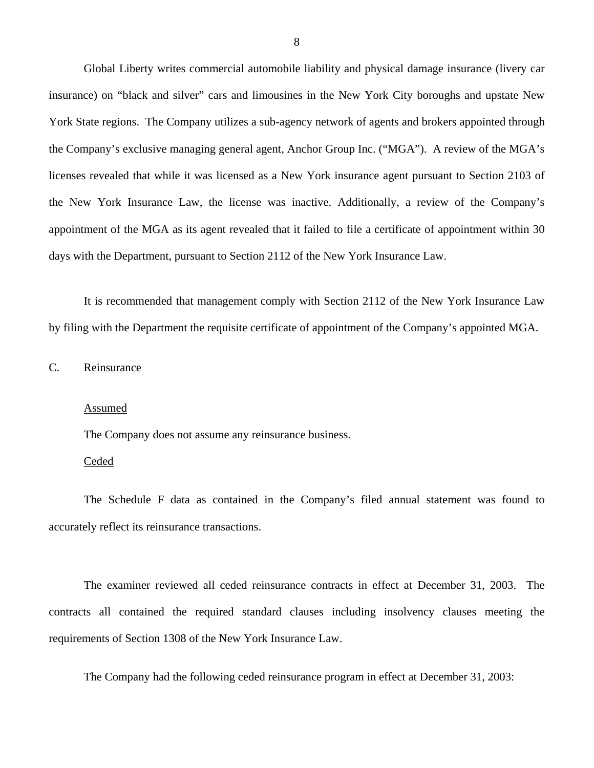<span id="page-9-0"></span>Global Liberty writes commercial automobile liability and physical damage insurance (livery car insurance) on "black and silver" cars and limousines in the New York City boroughs and upstate New York State regions. The Company utilizes a sub-agency network of agents and brokers appointed through the Company's exclusive managing general agent, Anchor Group Inc. ("MGA"). A review of the MGA's licenses revealed that while it was licensed as a New York insurance agent pursuant to Section 2103 of the New York Insurance Law, the license was inactive. Additionally, a review of the Company's appointment of the MGA as its agent revealed that it failed to file a certificate of appointment within 30 days with the Department, pursuant to Section 2112 of the New York Insurance Law.

It is recommended that management comply with Section 2112 of the New York Insurance Law by filing with the Department the requisite certificate of appointment of the Company's appointed MGA.

C. Reinsurance

## Assumed

The Company does not assume any reinsurance business.

### Ceded

The Schedule F data as contained in the Company's filed annual statement was found to accurately reflect its reinsurance transactions.

The examiner reviewed all ceded reinsurance contracts in effect at December 31, 2003. The contracts all contained the required standard clauses including insolvency clauses meeting the requirements of Section 1308 of the New York Insurance Law.

The Company had the following ceded reinsurance program in effect at December 31, 2003: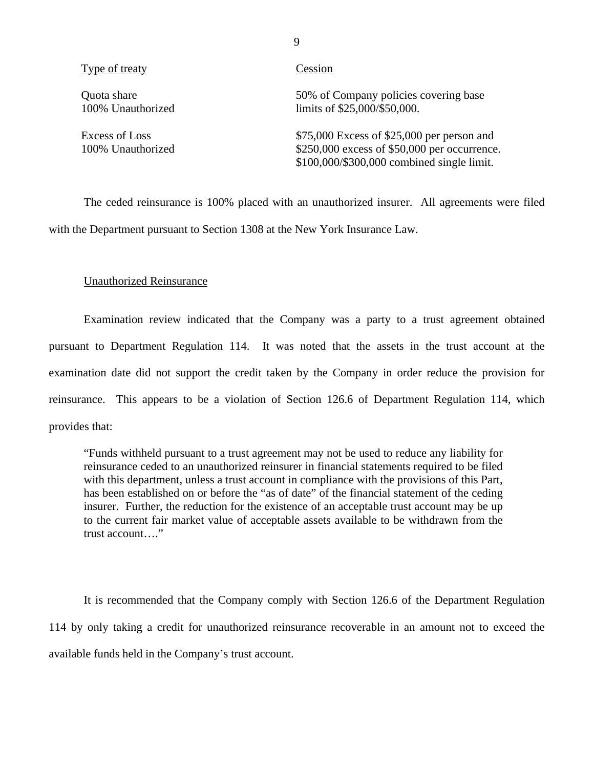| Type of treaty                      | Cession                                                                                                                                   |
|-------------------------------------|-------------------------------------------------------------------------------------------------------------------------------------------|
| Quota share<br>100% Unauthorized    | 50% of Company policies covering base<br>limits of \$25,000/\$50,000.                                                                     |
| Excess of Loss<br>100% Unauthorized | $$75,000$ Excess of \$25,000 per person and<br>\$250,000 excess of \$50,000 per occurrence.<br>\$100,000/\$300,000 combined single limit. |

The ceded reinsurance is 100% placed with an unauthorized insurer. All agreements were filed with the Department pursuant to Section 1308 at the New York Insurance Law.

## Unauthorized Reinsurance

Examination review indicated that the Company was a party to a trust agreement obtained pursuant to Department Regulation 114. It was noted that the assets in the trust account at the examination date did not support the credit taken by the Company in order reduce the provision for reinsurance. This appears to be a violation of Section 126.6 of Department Regulation 114, which provides that:

"Funds withheld pursuant to a trust agreement may not be used to reduce any liability for reinsurance ceded to an unauthorized reinsurer in financial statements required to be filed with this department, unless a trust account in compliance with the provisions of this Part, has been established on or before the "as of date" of the financial statement of the ceding insurer. Further, the reduction for the existence of an acceptable trust account may be up to the current fair market value of acceptable assets available to be withdrawn from the trust account…."

It is recommended that the Company comply with Section 126.6 of the Department Regulation 114 by only taking a credit for unauthorized reinsurance recoverable in an amount not to exceed the available funds held in the Company's trust account.

9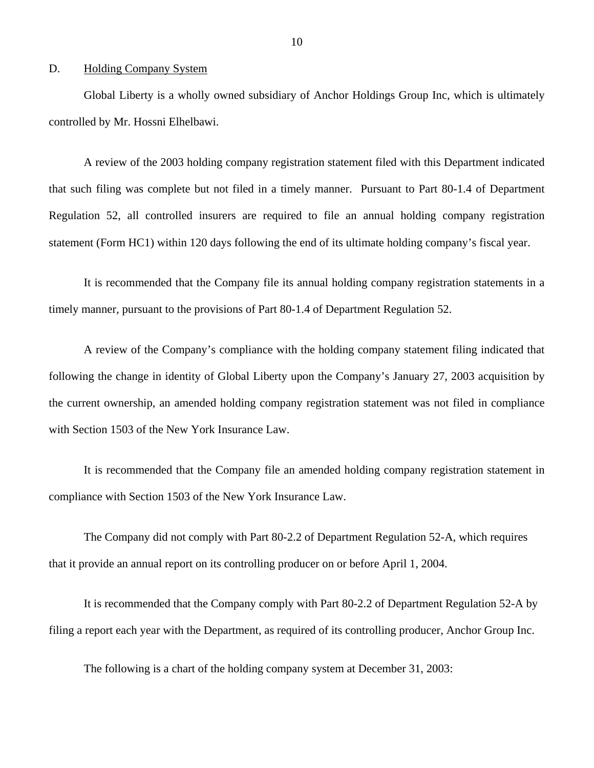### <span id="page-11-0"></span>D. Holding Company System

Global Liberty is a wholly owned subsidiary of Anchor Holdings Group Inc, which is ultimately controlled by Mr. Hossni Elhelbawi.

A review of the 2003 holding company registration statement filed with this Department indicated that such filing was complete but not filed in a timely manner. Pursuant to Part 80-1.4 of Department Regulation 52, all controlled insurers are required to file an annual holding company registration statement (Form HC1) within 120 days following the end of its ultimate holding company's fiscal year.

It is recommended that the Company file its annual holding company registration statements in a timely manner, pursuant to the provisions of Part 80-1.4 of Department Regulation 52.

A review of the Company's compliance with the holding company statement filing indicated that following the change in identity of Global Liberty upon the Company's January 27, 2003 acquisition by the current ownership, an amended holding company registration statement was not filed in compliance with Section 1503 of the New York Insurance Law.

It is recommended that the Company file an amended holding company registration statement in compliance with Section 1503 of the New York Insurance Law.

The Company did not comply with Part 80-2.2 of Department Regulation 52-A, which requires that it provide an annual report on its controlling producer on or before April 1, 2004.

It is recommended that the Company comply with Part 80-2.2 of Department Regulation 52-A by filing a report each year with the Department, as required of its controlling producer, Anchor Group Inc.

The following is a chart of the holding company system at December 31, 2003: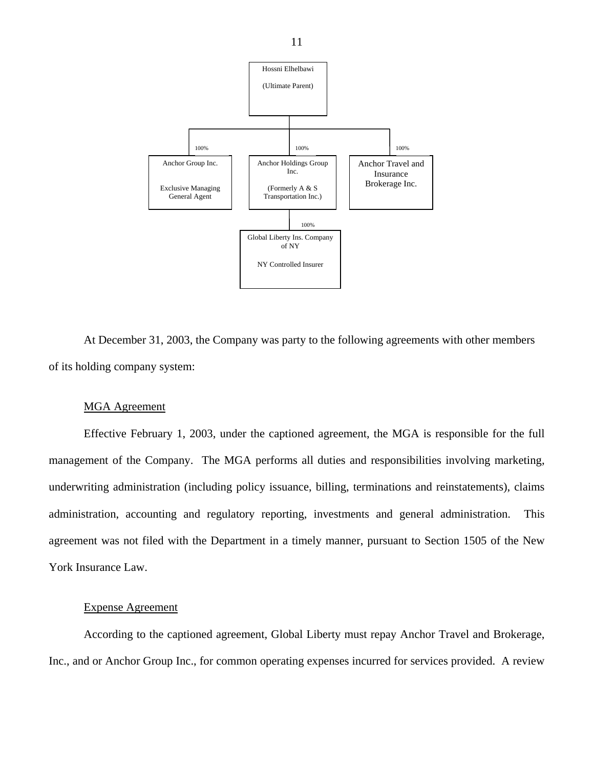

At December 31, 2003, the Company was party to the following agreements with other members of its holding company system:

## MGA Agreement

Effective February 1, 2003, under the captioned agreement, the MGA is responsible for the full management of the Company. The MGA performs all duties and responsibilities involving marketing, underwriting administration (including policy issuance, billing, terminations and reinstatements), claims administration, accounting and regulatory reporting, investments and general administration. This agreement was not filed with the Department in a timely manner, pursuant to Section 1505 of the New York Insurance Law.

## Expense Agreement

According to the captioned agreement, Global Liberty must repay Anchor Travel and Brokerage, Inc., and or Anchor Group Inc., for common operating expenses incurred for services provided. A review

11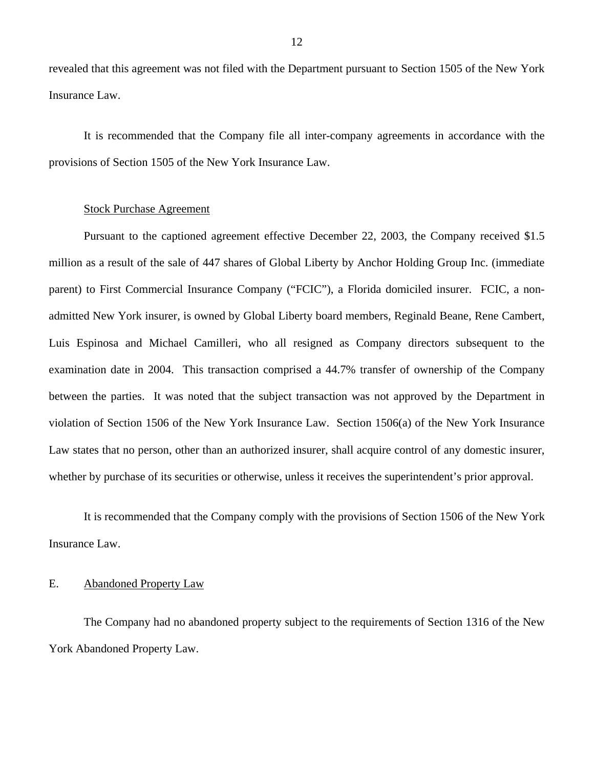<span id="page-13-0"></span>revealed that this agreement was not filed with the Department pursuant to Section 1505 of the New York Insurance Law.

It is recommended that the Company file all inter-company agreements in accordance with the provisions of Section 1505 of the New York Insurance Law.

## Stock Purchase Agreement

Pursuant to the captioned agreement effective December 22, 2003, the Company received \$1.5 million as a result of the sale of 447 shares of Global Liberty by Anchor Holding Group Inc. (immediate parent) to First Commercial Insurance Company ("FCIC"), a Florida domiciled insurer. FCIC, a nonadmitted New York insurer, is owned by Global Liberty board members, Reginald Beane, Rene Cambert, Luis Espinosa and Michael Camilleri, who all resigned as Company directors subsequent to the examination date in 2004. This transaction comprised a 44.7% transfer of ownership of the Company between the parties. It was noted that the subject transaction was not approved by the Department in violation of Section 1506 of the New York Insurance Law. Section 1506(a) of the New York Insurance Law states that no person, other than an authorized insurer, shall acquire control of any domestic insurer, whether by purchase of its securities or otherwise, unless it receives the superintendent's prior approval.

It is recommended that the Company comply with the provisions of Section 1506 of the New York Insurance Law.

# E. Abandoned Property Law

The Company had no abandoned property subject to the requirements of Section 1316 of the New York Abandoned Property Law.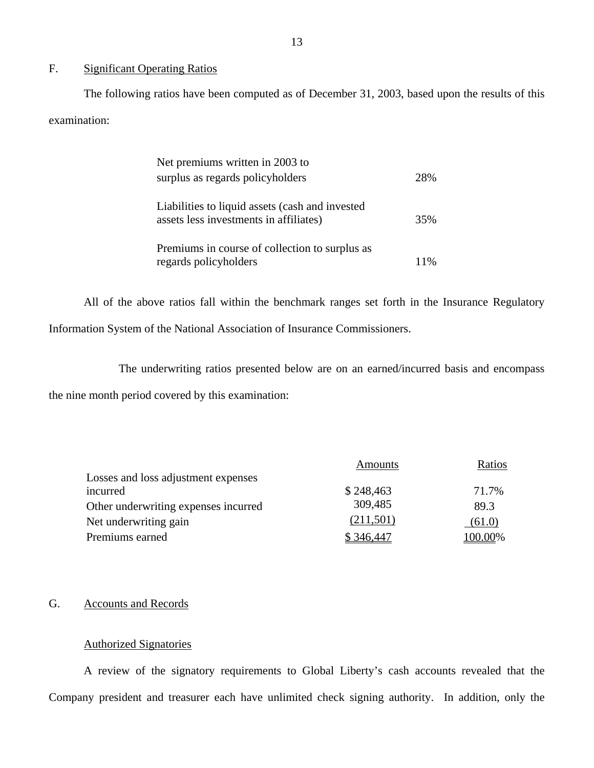# F. Significant Operating Ratios

The following ratios have been computed as of December 31, 2003, based upon the results of this examination:

| Net premiums written in 2003 to                 |     |
|-------------------------------------------------|-----|
| surplus as regards policyholders                | 28% |
| Liabilities to liquid assets (cash and invested |     |
| assets less investments in affiliates)          | 35% |
| Premiums in course of collection to surplus as  |     |
| regards policyholders                           |     |

All of the above ratios fall within the benchmark ranges set forth in the Insurance Regulatory Information System of the National Association of Insurance Commissioners.

The underwriting ratios presented below are on an earned/incurred basis and encompass

the nine month period covered by this examination:

|                                      | <b>Amounts</b> | Ratios  |
|--------------------------------------|----------------|---------|
| Losses and loss adjustment expenses  |                |         |
| incurred                             | \$248,463      | 71.7%   |
| Other underwriting expenses incurred | 309,485        | 89.3    |
| Net underwriting gain                | (211,501)      | (61.0)  |
| Premiums earned                      | \$346.447      | 100.00% |

## G. Accounts and Records

## Authorized Signatories

A review of the signatory requirements to Global Liberty's cash accounts revealed that the Company president and treasurer each have unlimited check signing authority. In addition, only the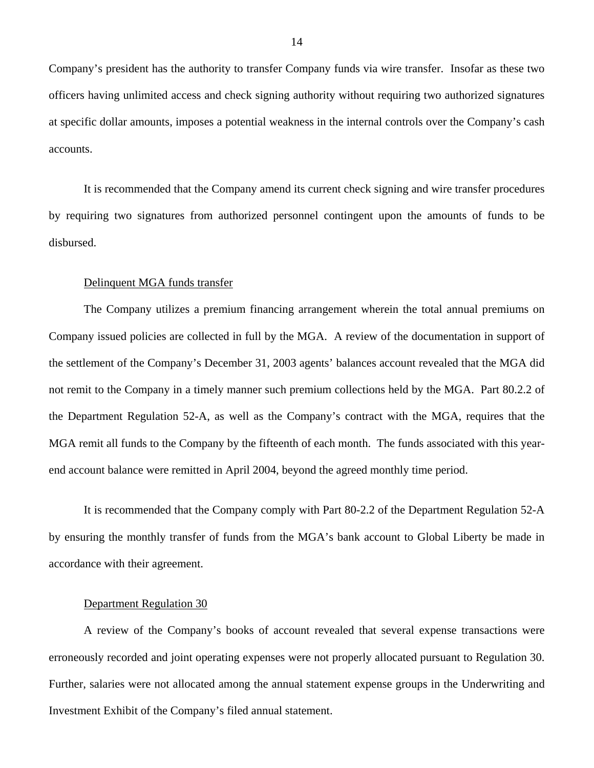Company's president has the authority to transfer Company funds via wire transfer. Insofar as these two officers having unlimited access and check signing authority without requiring two authorized signatures at specific dollar amounts, imposes a potential weakness in the internal controls over the Company's cash accounts.

It is recommended that the Company amend its current check signing and wire transfer procedures by requiring two signatures from authorized personnel contingent upon the amounts of funds to be disbursed.

## Delinquent MGA funds transfer

The Company utilizes a premium financing arrangement wherein the total annual premiums on Company issued policies are collected in full by the MGA. A review of the documentation in support of the settlement of the Company's December 31, 2003 agents' balances account revealed that the MGA did not remit to the Company in a timely manner such premium collections held by the MGA. Part 80.2.2 of the Department Regulation 52-A, as well as the Company's contract with the MGA, requires that the MGA remit all funds to the Company by the fifteenth of each month. The funds associated with this yearend account balance were remitted in April 2004, beyond the agreed monthly time period.

It is recommended that the Company comply with Part 80-2.2 of the Department Regulation 52-A by ensuring the monthly transfer of funds from the MGA's bank account to Global Liberty be made in accordance with their agreement.

#### Department Regulation 30

A review of the Company's books of account revealed that several expense transactions were erroneously recorded and joint operating expenses were not properly allocated pursuant to Regulation 30. Further, salaries were not allocated among the annual statement expense groups in the Underwriting and Investment Exhibit of the Company's filed annual statement.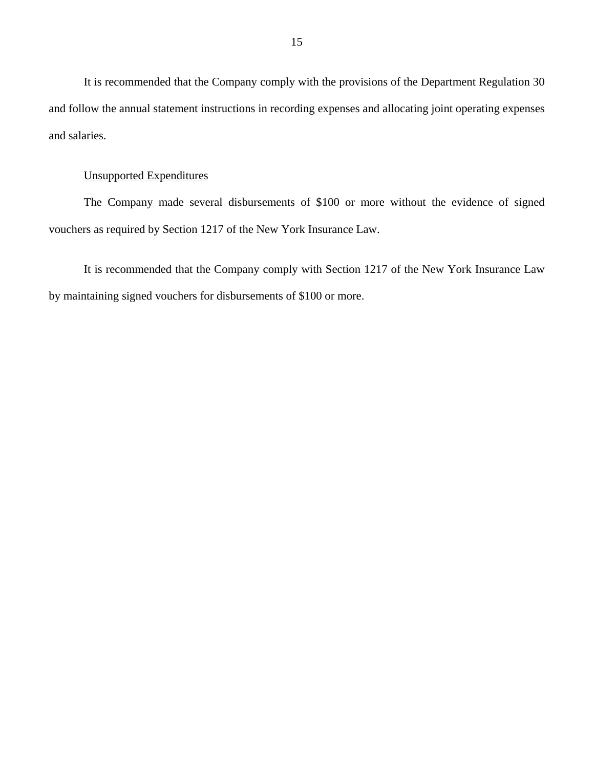It is recommended that the Company comply with the provisions of the Department Regulation 30 and follow the annual statement instructions in recording expenses and allocating joint operating expenses and salaries.

# Unsupported Expenditures

The Company made several disbursements of \$100 or more without the evidence of signed vouchers as required by Section 1217 of the New York Insurance Law.

It is recommended that the Company comply with Section 1217 of the New York Insurance Law by maintaining signed vouchers for disbursements of \$100 or more.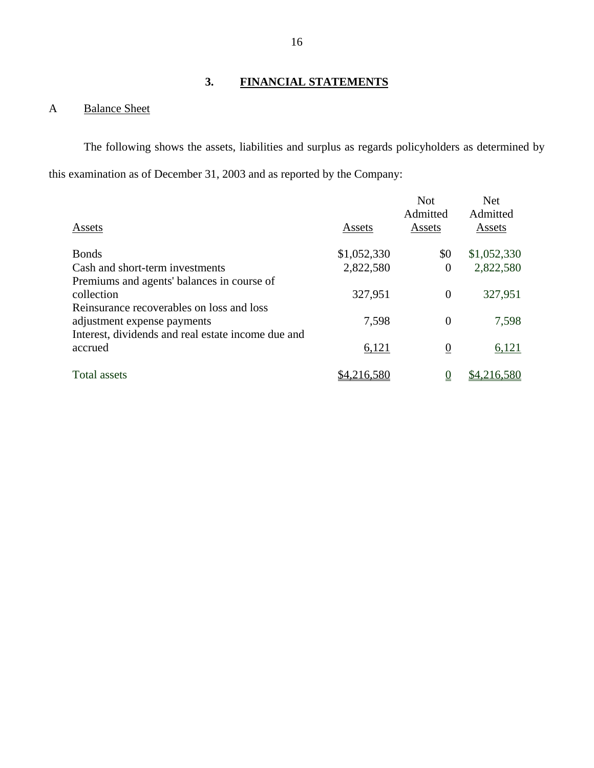# **3. FINANCIAL STATEMENTS**

# A Balance Sheet

The following shows the assets, liabilities and surplus as regards policyholders as determined by this examination as of December 31, 2003 and as reported by the Company:

|                                                    |             | <b>Not</b><br>Admitted | <b>Net</b><br>Admitted |
|----------------------------------------------------|-------------|------------------------|------------------------|
| Assets                                             | Assets      | Assets                 | Assets                 |
| <b>Bonds</b>                                       | \$1,052,330 | \$0                    | \$1,052,330            |
| Cash and short-term investments                    | 2,822,580   | $\boldsymbol{0}$       | 2,822,580              |
| Premiums and agents' balances in course of         |             |                        |                        |
| collection                                         | 327,951     | $\overline{0}$         | 327,951                |
| Reinsurance recoverables on loss and loss          |             |                        |                        |
| adjustment expense payments                        | 7,598       | $\overline{0}$         | 7,598                  |
| Interest, dividends and real estate income due and |             |                        |                        |
| accrued                                            | 6,121       | $\boldsymbol{0}$       | 6,121                  |
| Total assets                                       | .216.580    | $\overline{0}$         | \$4,216,580            |
|                                                    |             |                        |                        |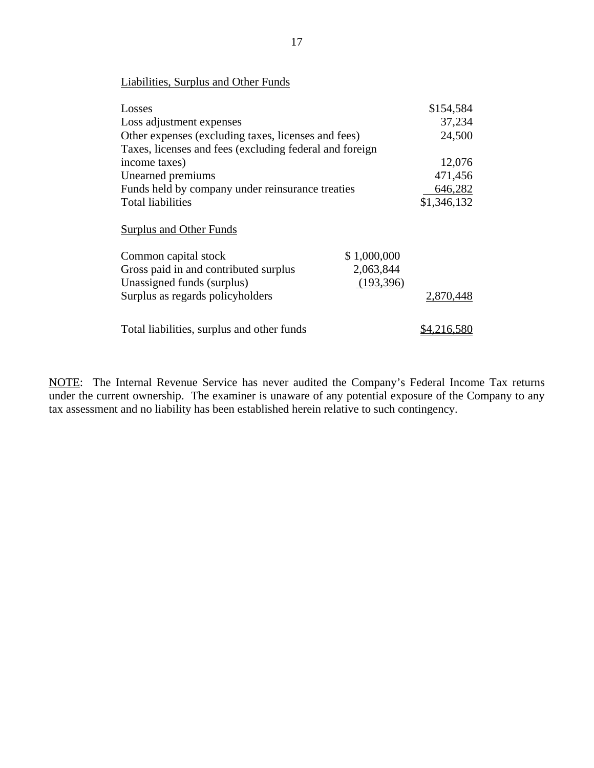| <b>Liabilities, Surplus and Other Funds</b>             |             |             |
|---------------------------------------------------------|-------------|-------------|
| Losses                                                  |             | \$154,584   |
| Loss adjustment expenses                                |             | 37,234      |
| Other expenses (excluding taxes, licenses and fees)     |             | 24,500      |
| Taxes, licenses and fees (excluding federal and foreign |             |             |
| income taxes)                                           |             | 12,076      |
| Unearned premiums                                       |             | 471,456     |
| Funds held by company under reinsurance treaties        |             | 646,282     |
| <b>Total liabilities</b>                                |             | \$1,346,132 |
| <b>Surplus and Other Funds</b>                          |             |             |
| Common capital stock                                    | \$1,000,000 |             |
| Gross paid in and contributed surplus                   | 2,063,844   |             |
| Unassigned funds (surplus)                              | (193, 396)  |             |
| Surplus as regards policyholders                        |             | 2,870,448   |
| Total liabilities, surplus and other funds              |             | \$4.216.580 |

NOTE: The Internal Revenue Service has never audited the Company's Federal Income Tax returns under the current ownership. The examiner is unaware of any potential exposure of the Company to any tax assessment and no liability has been established herein relative to such contingency.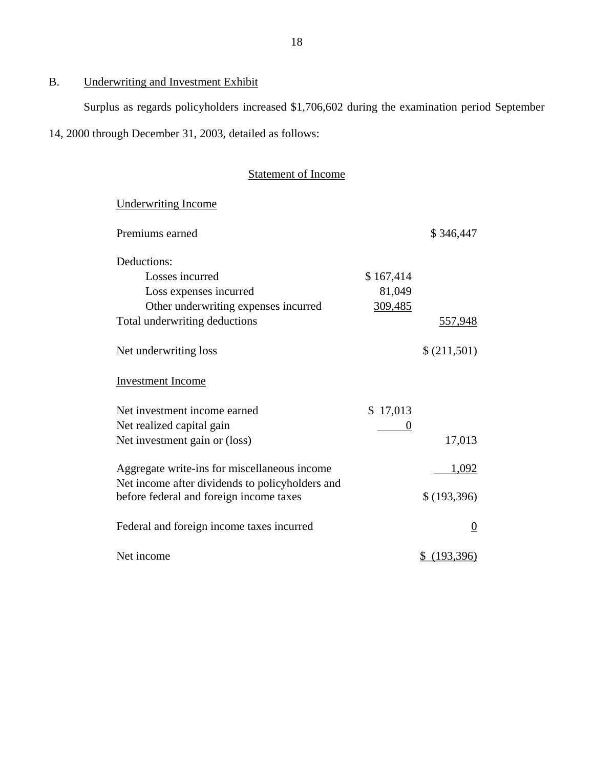# B. Underwriting and Investment Exhibit

Surplus as regards policyholders increased \$1,706,602 during the examination period September

14, 2000 through December 31, 2003, detailed as follows:

# Statement of Income

| <b>Underwriting Income</b>                      |           |                  |
|-------------------------------------------------|-----------|------------------|
| Premiums earned                                 |           | \$346,447        |
| Deductions:                                     |           |                  |
| Losses incurred                                 | \$167,414 |                  |
| Loss expenses incurred                          | 81,049    |                  |
| Other underwriting expenses incurred            | 309,485   |                  |
| Total underwriting deductions                   |           | 557,948          |
| Net underwriting loss                           |           | \$(211,501)      |
| <b>Investment Income</b>                        |           |                  |
| Net investment income earned                    | \$17,013  |                  |
| Net realized capital gain                       | 0         |                  |
| Net investment gain or (loss)                   |           | 17,013           |
| Aggregate write-ins for miscellaneous income    |           | 1,092            |
| Net income after dividends to policyholders and |           |                  |
| before federal and foreign income taxes         |           | \$ (193,396)     |
| Federal and foreign income taxes incurred       |           | $\boldsymbol{0}$ |
| Net income                                      |           | (193,396)        |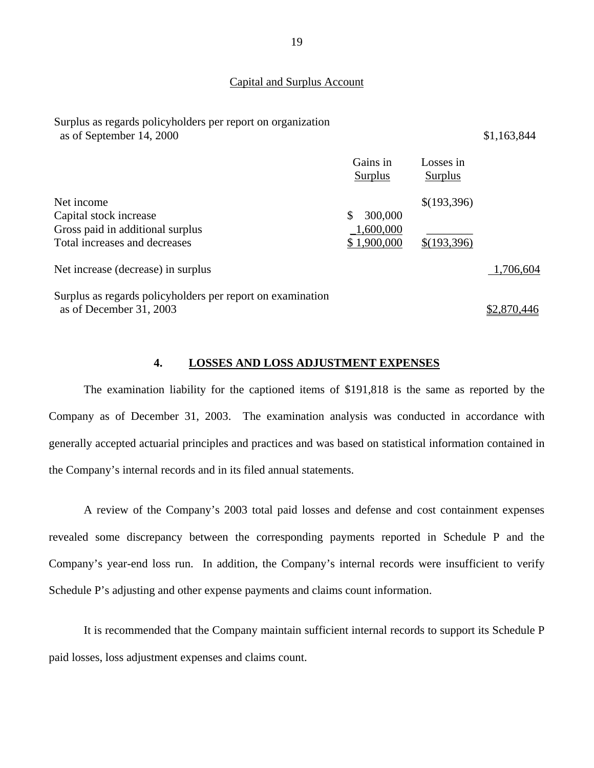### Capital and Surplus Account

Surplus as regards policyholders per report on organization as of September 14, 2000 \$1,163,844

**Surplus**  $$(193,396)$ Gains in **Surplus** Losses in Surplus Surplus Surplus<br>Net income  $\sqrt{(193,39)}$ Capital stock increase Gross paid in additional surplus Total increases and decreases \$ 300,000 \_1,600,000 \$ 1,900,000 \$(193,396)  $\overline{\phantom{a}}$   $\overline{\phantom{a}}$ Total increases and decreases  $$1,900,000$   $$(193,396)$ <br>Net increase (decrease) in surplus  $1,706,604$ Surplus as regards policyholders per report on examination

as of December 31, 2003 \$2,870,446

### **4. LOSSES AND LOSS ADJUSTMENT EXPENSES**

The examination liability for the captioned items of \$191,818 is the same as reported by the Company as of December 31, 2003. The examination analysis was conducted in accordance with generally accepted actuarial principles and practices and was based on statistical information contained in the Company's internal records and in its filed annual statements.

A review of the Company's 2003 total paid losses and defense and cost containment expenses revealed some discrepancy between the corresponding payments reported in Schedule P and the Company's year-end loss run. In addition, the Company's internal records were insufficient to verify Schedule P's adjusting and other expense payments and claims count information.

It is recommended that the Company maintain sufficient internal records to support its Schedule P paid losses, loss adjustment expenses and claims count.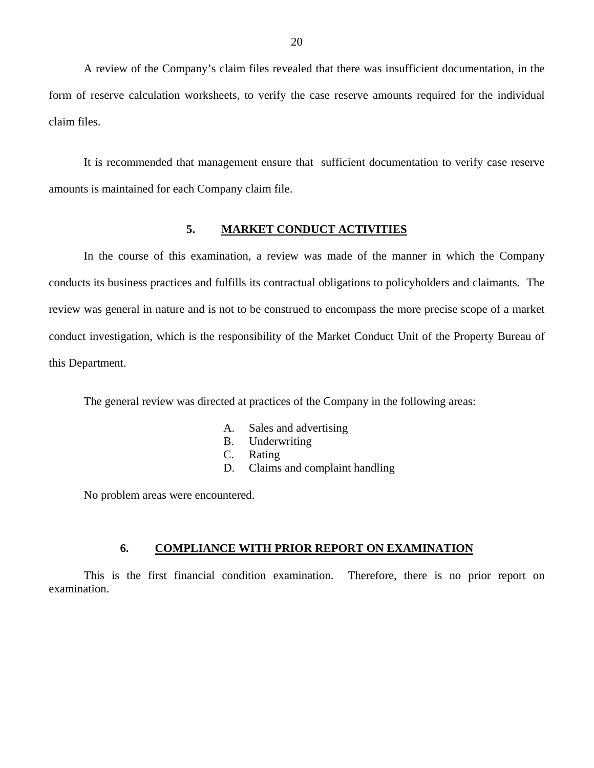<span id="page-21-0"></span>A review of the Company's claim files revealed that there was insufficient documentation, in the form of reserve calculation worksheets, to verify the case reserve amounts required for the individual claim files.

It is recommended that management ensure that sufficient documentation to verify case reserve amounts is maintained for each Company claim file.

### **5. MARKET CONDUCT ACTIVITIES**

In the course of this examination, a review was made of the manner in which the Company conducts its business practices and fulfills its contractual obligations to policyholders and claimants. The review was general in nature and is not to be construed to encompass the more precise scope of a market conduct investigation, which is the responsibility of the Market Conduct Unit of the Property Bureau of this Department.

The general review was directed at practices of the Company in the following areas:

- A. Sales and advertising
- B. Underwriting
- C. Rating
- D. Claims and complaint handling

No problem areas were encountered.

## **6. COMPLIANCE WITH PRIOR REPORT ON EXAMINATION**

This is the first financial condition examination. Therefore, there is no prior report on examination.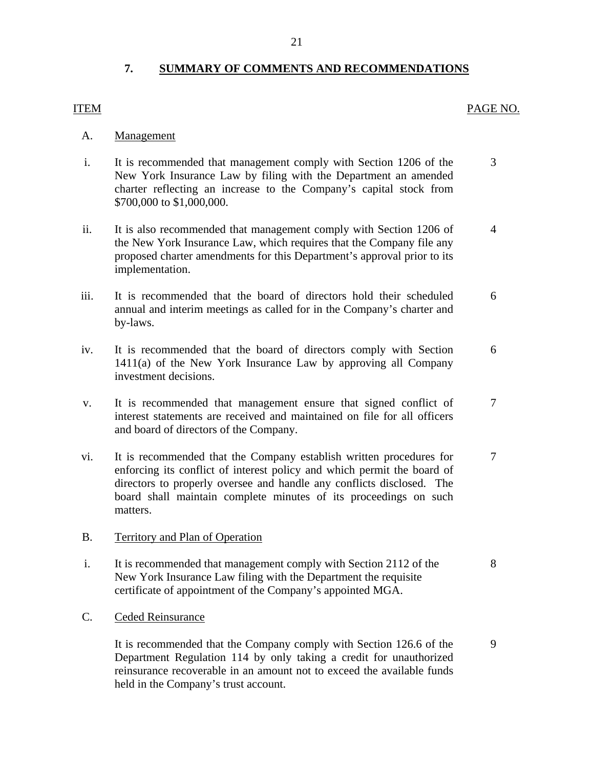# **7. SUMMARY OF COMMENTS AND RECOMMENDATIONS**

# <span id="page-22-0"></span>ITEM PAGE NO.

# Management

- A. Management<br>i. It is recommended that management comply with Section 1206 of the 3 New York Insurance Law by filing with the Department an amended charter reflecting an increase to the Company's capital stock from \$700,000 to \$1,000,000.
- ii. It is also recommended that management comply with Section 1206 of 4 the New York Insurance Law, which requires that the Company file any proposed charter amendments for this Department's approval prior to its implementation.
- iii. It is recommended that the board of directors hold their scheduled 6 annual and interim meetings as called for in the Company's charter and by-laws.
- iv. It is recommended that the board of directors comply with Section 6 1411(a) of the New York Insurance Law by approving all Company investment decisions.
- v. It is recommended that management ensure that signed conflict of 7 interest statements are received and maintained on file for all officers and board of directors of the Company.
- vi. It is recommended that the Company establish written procedures for 7 enforcing its conflict of interest policy and which permit the board of directors to properly oversee and handle any conflicts disclosed. The board shall maintain complete minutes of its proceedings on such matters.
- B. Territory and Plan of Operation
- i. It is recommended that management comply with Section 2112 of the 8 New York Insurance Law filing with the Department the requisite certificate of appointment of the Company's appointed MGA.
- C. Ceded Reinsurance

It is recommended that the Company comply with Section 126.6 of the 9 Department Regulation 114 by only taking a credit for unauthorized reinsurance recoverable in an amount not to exceed the available funds held in the Company's trust account.

21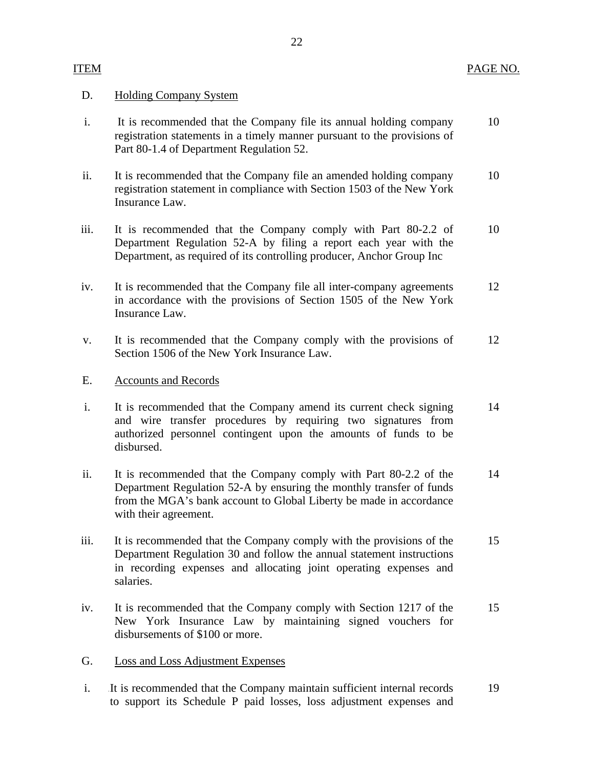## D. Holding Company System

- i. It is recommended that the Company file its annual holding company 10 registration statements in a timely manner pursuant to the provisions of Part 80-1.4 of Department Regulation 52.
- ii. It is recommended that the Company file an amended holding company 10 registration statement in compliance with Section 1503 of the New York Insurance Law.
- iii. It is recommended that the Company comply with Part 80-2.2 of 10 Department Regulation 52-A by filing a report each year with the Department, as required of its controlling producer, Anchor Group Inc
- iv. It is recommended that the Company file all inter-company agreements 12 in accordance with the provisions of Section 1505 of the New York Insurance Law.
- v. It is recommended that the Company comply with the provisions of 12 Section 1506 of the New York Insurance Law.

## E. Accounts and Records

- i. It is recommended that the Company amend its current check signing 14 and wire transfer procedures by requiring two signatures from authorized personnel contingent upon the amounts of funds to be disbursed.
- ii. It is recommended that the Company comply with Part 80-2.2 of the 14 Department Regulation 52-A by ensuring the monthly transfer of funds from the MGA's bank account to Global Liberty be made in accordance with their agreement.
- iii. It is recommended that the Company comply with the provisions of the 15 Department Regulation 30 and follow the annual statement instructions in recording expenses and allocating joint operating expenses and salaries.
- iv. It is recommended that the Company comply with Section 1217 of the 15 New York Insurance Law by maintaining signed vouchers for disbursements of \$100 or more.
- G. Loss and Loss Adjustment Expenses
- i. It is recommended that the Company maintain sufficient internal records 19 to support its Schedule P paid losses, loss adjustment expenses and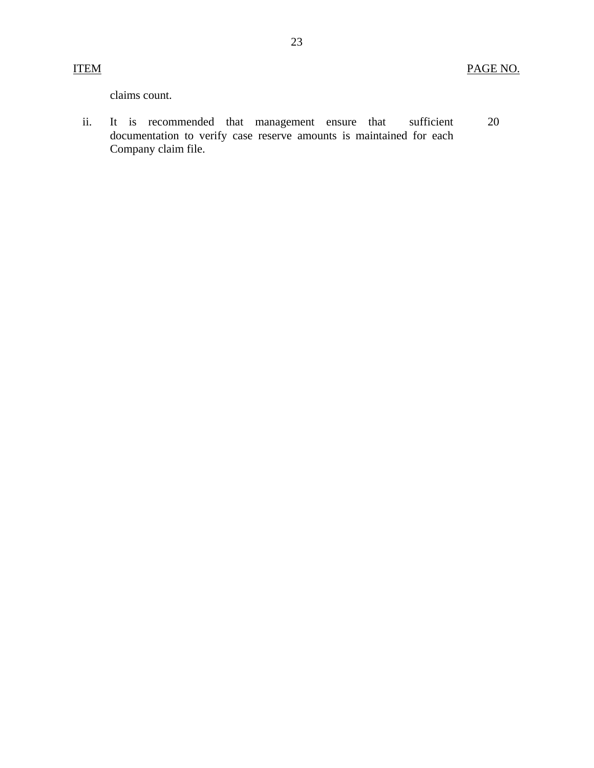claims count.

ii. It is recommended that management ensure that sufficient documentation to verify case reserve amounts is maintained for each Company claim file. 20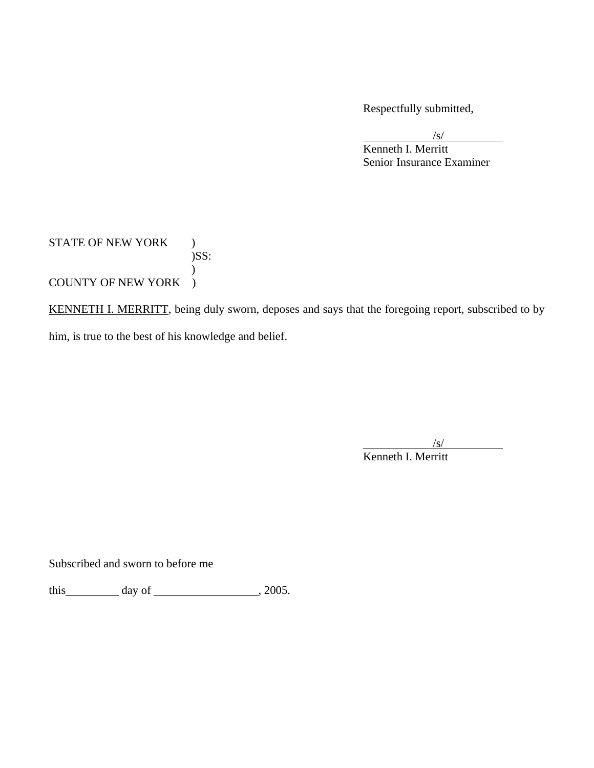Respectfully submitted,

 $\sqrt{s/2}$ Kenneth I. Merritt Senior Insurance Examiner

STATE OF NEW YORK ) )SS:  $\mathcal{L}$ COUNTY OF NEW YORK )

KENNETH I. MERRITT, being duly sworn, deposes and says that the foregoing report, subscribed to by him, is true to the best of his knowledge and belief.

 $\overline{a}$  /s/ Kenneth I. Merritt

Subscribed and sworn to before me

this  $\qquad \qquad \text{day of} \qquad \qquad .2005.$